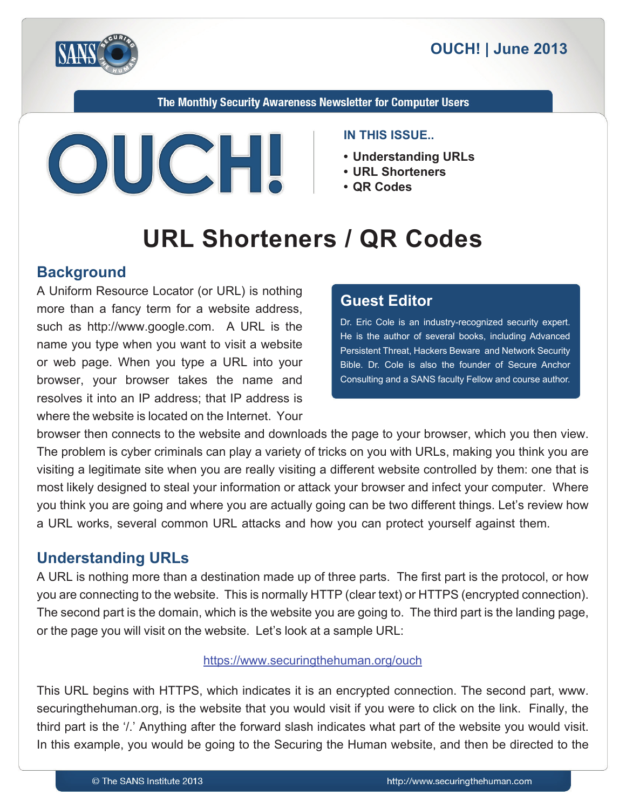

The Monthly Security Awareness Newsletter for Computer Users



#### **IN THIS ISSUE..**

- **Understanding URLs**
- URL Shorteners
- QR Codes

# **URL Shorteners / QR Codes**

## **Background**

A Uniform Resource Locator (or URL) is nothing more than a fancy term for a website address, such as http://www.google.com. A URL is the name you type when you want to visit a website or web page. When you type a URL into your browser, your browser takes the name and resolves it into an IP address; that IP address is where the website is located on the Internet. Your

## **Editor Guest**

Dr. Eric Cole is an industry-recognized security expert. He is the author of several books, including Advanced Persistent Threat. Hackers Beware and Network Security Bible. Dr. Cole is also the founder of Secure Anchor Consulting and a SANS faculty Fellow and course author.

browser then connects to the website and downloads the page to your browser, which you then view. The problem is cyber criminals can play a variety of tricks on you with URLs, making you think you are visiting a legitimate site when you are really visiting a different website controlled by them: one that is most likely designed to steal your information or attack your browser and infect your computer. Where you think you are going and where you are actually going can be two different things. Let's review how a URL works, several common URL attacks and how you can protect yourself against them.

# **Understanding URLs**

A URL is nothing more than a destination made up of three parts. The first part is the protocol, or how you are connecting to the website. This is normally HTTP (clear text) or HTTPS (encrypted connection). The second part is the domain, which is the website you are going to. The third part is the landing page, or the page you will visit on the website. Let's look at a sample URL:

#### https://www.securingthehuman.org/ouch

This URL begins with HTTPS, which indicates it is an encrypted connection. The second part, www. securing the human org, is the website that you would visit if you were to click on the link. Finally, the third part is the '/.' Anything after the forward slash indicates what part of the website you would visit. In this example, you would be going to the Securing the Human website, and then be directed to the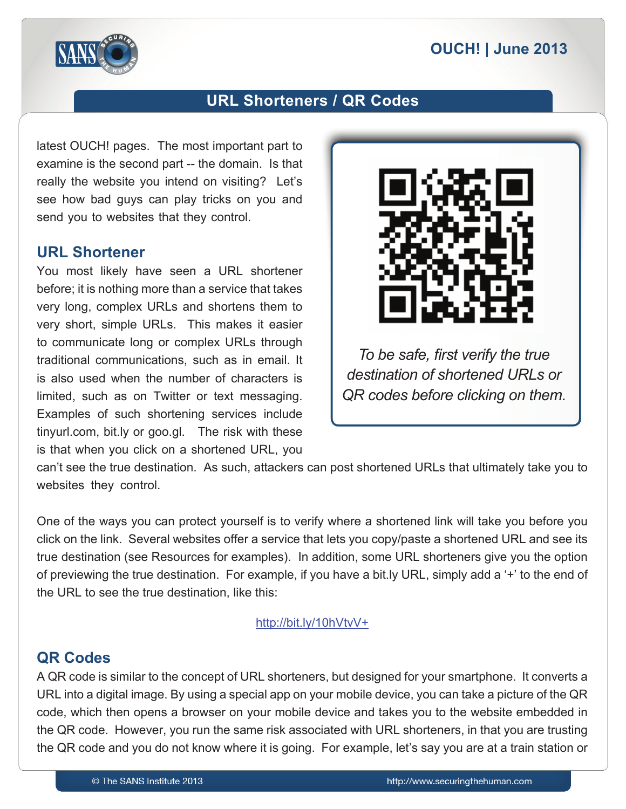

# **URL Shorteners / QR Codes**

latest OUCH! pages. The most important part to examine is the second part -- the domain. Is that really the website you intend on visiting? Let's see how bad guys can play tricks on you and send you to websites that they control.

#### **URL Shortener**

You most likely have seen a URL shortener before; it is nothing more than a service that takes very long, complex URLs and shortens them to very short, simple URLs. This makes it easier to communicate long or complex URLs through traditional communications, such as in email. It is also used when the number of characters is limited, such as on Twitter or text messaging. Examples of such shortening services include tinyurl.com, bit.ly or goo.gl. The risk with these is that when you click on a shortened URL, you



*To be safe, first verify the true* destination of shortened URLs or *QR* codes before clicking on them.

can't see the true destination. As such, attackers can post shortened URLs that ultimately take you to websites they control.

One of the ways you can protect yourself is to verify where a shortened link will take you before you click on the link. Several websites offer a service that lets you copy/paste a shortened URL and see its true destination (see Resources for examples). In addition, some URL shorteners give you the option of previewing the true destination. For example, if you have a bit ly URL, simply add a '+' to the end of the URL to see the true destination. like this:

#### http://bit.ly/10hVtvV+

#### **QR** Codes

A QR code is similar to the concept of URL shorteners, but designed for your smartphone. It converts a URL into a digital image. By using a special app on your mobile device, you can take a picture of the QR code, which then opens a browser on your mobile device and takes you to the website embedded in the QR code. However, you run the same risk associated with URL shorteners, in that you are trusting the QR code and you do not know where it is going. For example, let's say you are at a train station or